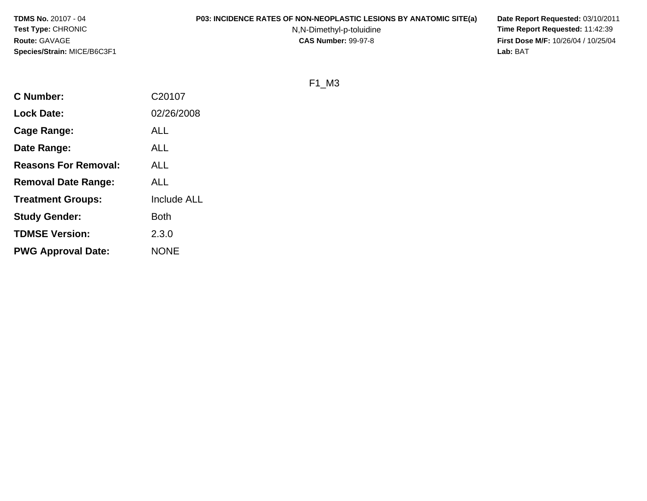**TDMS No.** 20107 - 04**Test Type:** CHRONIC**Route:** GAVAGE**Species/Strain:** MICE/B6C3F1

# **P03: INCIDENCE RATES OF NON-NEOPLASTIC LESIONS BY ANATOMIC SITE(a) Date Report Requested:** 03/10/2011

N,N-Dimethyl-p-toluidine

 **Time Report Requested:** 11:42:39 **First Dose M/F:** 10/26/04 / 10/25/04<br>Lab: BAT **Lab:** BAT

F1\_M3

| <b>C</b> Number:            | C20107             |
|-----------------------------|--------------------|
| <b>Lock Date:</b>           | 02/26/2008         |
| Cage Range:                 | <b>ALL</b>         |
| Date Range:                 | ALL                |
| <b>Reasons For Removal:</b> | <b>ALL</b>         |
| <b>Removal Date Range:</b>  | ALL                |
| <b>Treatment Groups:</b>    | <b>Include ALL</b> |
| <b>Study Gender:</b>        | <b>Both</b>        |
| <b>TDMSE Version:</b>       | 2.3.0              |
| <b>PWG Approval Date:</b>   | <b>NONE</b>        |
|                             |                    |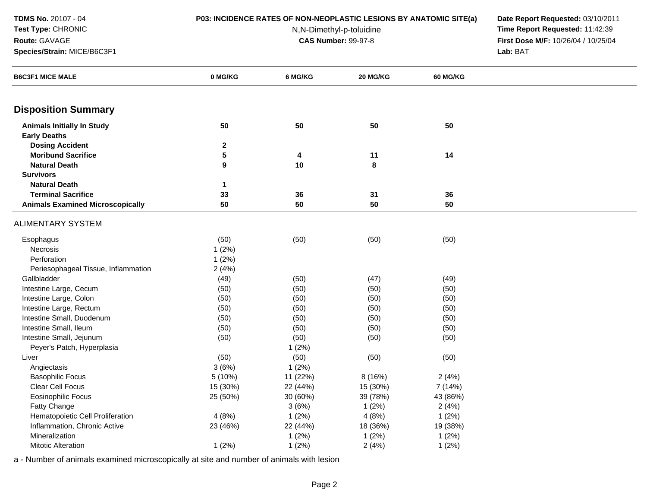**Route:** GAVAGE

## **Test Type:** CHRONIC

**Species/Strain:** MICE/B6C3F1

# **P03: INCIDENCE RATES OF NON-NEOPLASTIC LESIONS BY ANATOMIC SITE(a) Date Report Requested:** 03/10/2011

N,N-Dimethyl-p-toluidine

 **Time Report Requested:** 11:42:39 **First Dose M/F:** 10/26/04 / 10/25/04 Lab: BAT **Lab:** BAT

| <b>B6C3F1 MICE MALE</b>                 | 0 MG/KG         | 6 MG/KG  | 20 MG/KG  | <b>60 MG/KG</b> |  |
|-----------------------------------------|-----------------|----------|-----------|-----------------|--|
|                                         |                 |          |           |                 |  |
| <b>Disposition Summary</b>              |                 |          |           |                 |  |
| <b>Animals Initially In Study</b>       | 50              | 50       | 50        | 50              |  |
| <b>Early Deaths</b>                     |                 |          |           |                 |  |
| <b>Dosing Accident</b>                  | $\mathbf 2$     |          |           |                 |  |
| <b>Moribund Sacrifice</b>               | $5\phantom{.0}$ | 4        | 11        | 14              |  |
| <b>Natural Death</b>                    | 9               | $10$     | $\pmb{8}$ |                 |  |
| <b>Survivors</b>                        |                 |          |           |                 |  |
| <b>Natural Death</b>                    | $\mathbf 1$     |          |           |                 |  |
| <b>Terminal Sacrifice</b>               | 33              | 36       | 31        | 36              |  |
| <b>Animals Examined Microscopically</b> | 50              | 50       | 50        | 50              |  |
| <b>ALIMENTARY SYSTEM</b>                |                 |          |           |                 |  |
| Esophagus                               | (50)            | (50)     | (50)      | (50)            |  |
| Necrosis                                | 1(2%)           |          |           |                 |  |
| Perforation                             | 1(2%)           |          |           |                 |  |
| Periesophageal Tissue, Inflammation     | 2(4%)           |          |           |                 |  |
| Gallbladder                             | (49)            | (50)     | (47)      | (49)            |  |
| Intestine Large, Cecum                  | (50)            | (50)     | (50)      | (50)            |  |
| Intestine Large, Colon                  | (50)            | (50)     | (50)      | (50)            |  |
| Intestine Large, Rectum                 | (50)            | (50)     | (50)      | (50)            |  |
| Intestine Small, Duodenum               | (50)            | (50)     | (50)      | (50)            |  |
| Intestine Small, Ileum                  | (50)            | (50)     | (50)      | (50)            |  |
| Intestine Small, Jejunum                | (50)            | (50)     | (50)      | (50)            |  |
| Peyer's Patch, Hyperplasia              |                 | 1(2%)    |           |                 |  |
| Liver                                   | (50)            | (50)     | (50)      | (50)            |  |
| Angiectasis                             | 3(6%)           | $1(2\%)$ |           |                 |  |
| <b>Basophilic Focus</b>                 | 5 (10%)         | 11 (22%) | 8 (16%)   | 2(4%)           |  |
| Clear Cell Focus                        | 15 (30%)        | 22 (44%) | 15 (30%)  | 7 (14%)         |  |
| <b>Eosinophilic Focus</b>               | 25 (50%)        | 30 (60%) | 39 (78%)  | 43 (86%)        |  |
| Fatty Change                            |                 | 3(6%)    | 1(2%)     | 2(4%)           |  |
| Hematopoietic Cell Proliferation        | 4(8%)           | 1(2%)    | 4(8%)     | 1(2%)           |  |
| Inflammation, Chronic Active            | 23 (46%)        | 22 (44%) | 18 (36%)  | 19 (38%)        |  |
| Mineralization                          |                 | 1(2%)    | 1(2%)     | 1(2%)           |  |
| <b>Mitotic Alteration</b>               | 1(2%)           | 1(2%)    | 2(4%)     | 1(2%)           |  |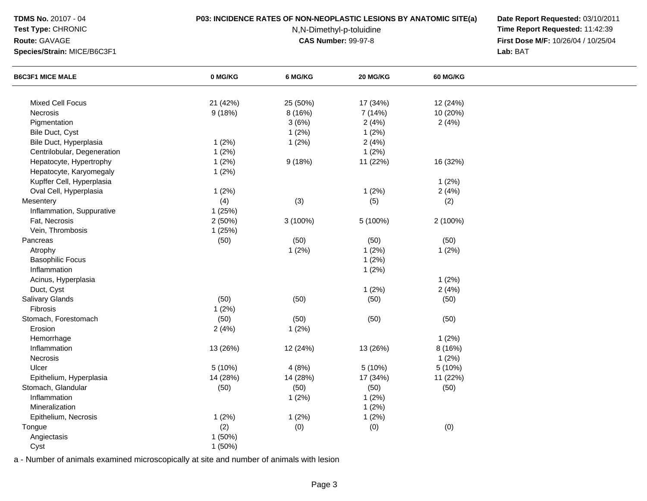## **Test Type:** CHRONIC

**Route:** GAVAGE

**Species/Strain:** MICE/B6C3F1

## **P03: INCIDENCE RATES OF NON-NEOPLASTIC LESIONS BY ANATOMIC SITE(a) Date Report Requested:** 03/10/2011

N,N-Dimethyl-p-toluidine

 **Time Report Requested:** 11:42:39 **First Dose M/F:** 10/26/04 / 10/25/04<br>Lab: BAT **Lab:** BAT

| <b>B6C3F1 MICE MALE</b>     | 0 MG/KG  | 6 MG/KG  | 20 MG/KG | 60 MG/KG |  |
|-----------------------------|----------|----------|----------|----------|--|
|                             |          |          |          |          |  |
| Mixed Cell Focus            | 21 (42%) | 25 (50%) | 17 (34%) | 12 (24%) |  |
| Necrosis                    | 9(18%)   | 8 (16%)  | 7(14%)   | 10 (20%) |  |
| Pigmentation                |          | 3(6%)    | 2(4%)    | 2(4%)    |  |
| Bile Duct, Cyst             |          | 1(2%)    | 1(2%)    |          |  |
| Bile Duct, Hyperplasia      | 1(2%)    | 1(2%)    | 2(4%)    |          |  |
| Centrilobular, Degeneration | 1(2%)    |          | 1(2%)    |          |  |
| Hepatocyte, Hypertrophy     | 1(2%)    | 9(18%)   | 11 (22%) | 16 (32%) |  |
| Hepatocyte, Karyomegaly     | 1(2%)    |          |          |          |  |
| Kupffer Cell, Hyperplasia   |          |          |          | 1(2%)    |  |
| Oval Cell, Hyperplasia      | 1(2%)    |          | 1(2%)    | 2(4%)    |  |
| Mesentery                   | (4)      | (3)      | (5)      | (2)      |  |
| Inflammation, Suppurative   | 1 (25%)  |          |          |          |  |
| Fat, Necrosis               | 2(50%)   | 3 (100%) | 5 (100%) | 2 (100%) |  |
| Vein, Thrombosis            | 1 (25%)  |          |          |          |  |
| Pancreas                    | (50)     | (50)     | (50)     | (50)     |  |
| Atrophy                     |          | 1(2%)    | 1(2%)    | 1(2%)    |  |
| <b>Basophilic Focus</b>     |          |          | 1(2%)    |          |  |
| Inflammation                |          |          | 1(2%)    |          |  |
| Acinus, Hyperplasia         |          |          |          | 1(2%)    |  |
| Duct, Cyst                  |          |          | 1(2%)    | 2(4%)    |  |
| Salivary Glands             | (50)     | (50)     | (50)     | (50)     |  |
| Fibrosis                    | 1(2%)    |          |          |          |  |
| Stomach, Forestomach        | (50)     | (50)     | (50)     | (50)     |  |
| Erosion                     | 2(4%)    | 1(2%)    |          |          |  |
| Hemorrhage                  |          |          |          | 1(2%)    |  |
| Inflammation                | 13 (26%) | 12 (24%) | 13 (26%) | 8 (16%)  |  |
| Necrosis                    |          |          |          | 1(2%)    |  |
| Ulcer                       | 5 (10%)  | 4(8%)    | 5(10%)   | 5(10%)   |  |
| Epithelium, Hyperplasia     | 14 (28%) | 14 (28%) | 17 (34%) | 11 (22%) |  |
| Stomach, Glandular          | (50)     | (50)     | (50)     | (50)     |  |
| Inflammation                |          | 1(2%)    | 1(2%)    |          |  |
| Mineralization              |          |          | 1(2%)    |          |  |
| Epithelium, Necrosis        | 1(2%)    | 1(2%)    | 1(2%)    |          |  |
| Tongue                      | (2)      | (0)      | (0)      | (0)      |  |
| Angiectasis                 | 1(50%)   |          |          |          |  |
| Cyst                        | 1(50%)   |          |          |          |  |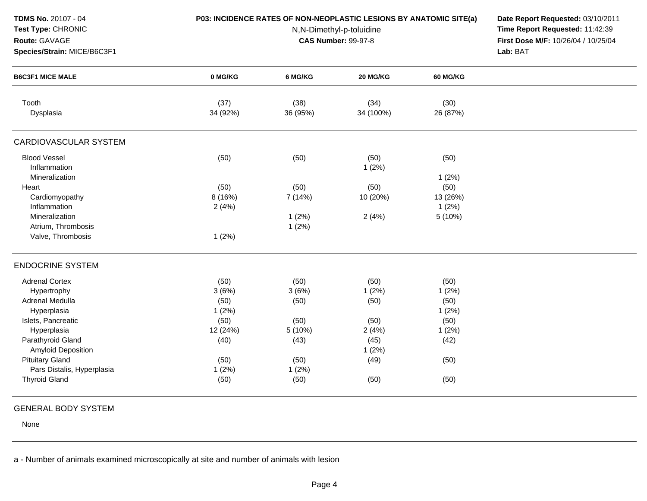| TDMS No. 20107 - 04<br>Test Type: CHRONIC<br>Route: GAVAGE<br>Species/Strain: MICE/B6C3F1 | P03: INCIDENCE RATES OF NON-NEOPLASTIC LESIONS BY ANATOMIC SITE(a) | Date Report Requested: 03/10/2011<br>Time Report Requested: 11:42:39<br>First Dose M/F: 10/26/04 / 10/25/04<br>Lab: BAT |                   |                  |  |
|-------------------------------------------------------------------------------------------|--------------------------------------------------------------------|-------------------------------------------------------------------------------------------------------------------------|-------------------|------------------|--|
| <b>B6C3F1 MICE MALE</b>                                                                   | 0 MG/KG                                                            | 6 MG/KG                                                                                                                 | 20 MG/KG          | <b>60 MG/KG</b>  |  |
| Tooth<br>Dysplasia                                                                        | (37)<br>34 (92%)                                                   | (38)<br>36 (95%)                                                                                                        | (34)<br>34 (100%) | (30)<br>26 (87%) |  |
| <b>CARDIOVASCULAR SYSTEM</b>                                                              |                                                                    |                                                                                                                         |                   |                  |  |
| <b>Blood Vessel</b><br>Inflammation                                                       | (50)                                                               | (50)                                                                                                                    | (50)<br>1(2%)     | (50)             |  |
| Mineralization                                                                            |                                                                    |                                                                                                                         |                   | 1(2%)            |  |
| Heart                                                                                     | (50)                                                               | (50)                                                                                                                    | (50)              | (50)             |  |
| Cardiomyopathy                                                                            | 8 (16%)                                                            | 7(14%)                                                                                                                  | 10 (20%)          | 13 (26%)         |  |
| Inflammation                                                                              | 2(4%)                                                              |                                                                                                                         |                   | 1(2%)            |  |
| Mineralization                                                                            |                                                                    | 1(2%)                                                                                                                   | 2(4%)             | 5 (10%)          |  |
| Atrium, Thrombosis<br>Valve, Thrombosis                                                   | 1(2%)                                                              | 1(2%)                                                                                                                   |                   |                  |  |
| <b>ENDOCRINE SYSTEM</b>                                                                   |                                                                    |                                                                                                                         |                   |                  |  |
| <b>Adrenal Cortex</b>                                                                     | (50)                                                               | (50)                                                                                                                    | (50)              | (50)             |  |
| Hypertrophy                                                                               | 3(6%)                                                              | 3(6%)                                                                                                                   | 1(2%)             | 1(2%)            |  |
| <b>Adrenal Medulla</b>                                                                    | (50)                                                               | (50)                                                                                                                    | (50)              | (50)             |  |
| Hyperplasia                                                                               | 1(2%)                                                              |                                                                                                                         |                   | 1(2%)            |  |
| Islets, Pancreatic                                                                        | (50)                                                               | (50)                                                                                                                    | (50)              | (50)             |  |
| Hyperplasia                                                                               | 12 (24%)                                                           | 5 (10%)                                                                                                                 | 2(4%)             | 1(2%)            |  |
| Parathyroid Gland                                                                         | (40)                                                               | (43)                                                                                                                    | (45)              | (42)             |  |
| Amyloid Deposition                                                                        |                                                                    |                                                                                                                         | 1(2%)             |                  |  |
| <b>Pituitary Gland</b>                                                                    | (50)                                                               | (50)                                                                                                                    | (49)              | (50)             |  |
| Pars Distalis, Hyperplasia                                                                | 1(2%)                                                              | 1(2%)                                                                                                                   |                   |                  |  |
| <b>Thyroid Gland</b>                                                                      | (50)                                                               | (50)                                                                                                                    | (50)              | (50)             |  |

# GENERAL BODY SYSTEM

None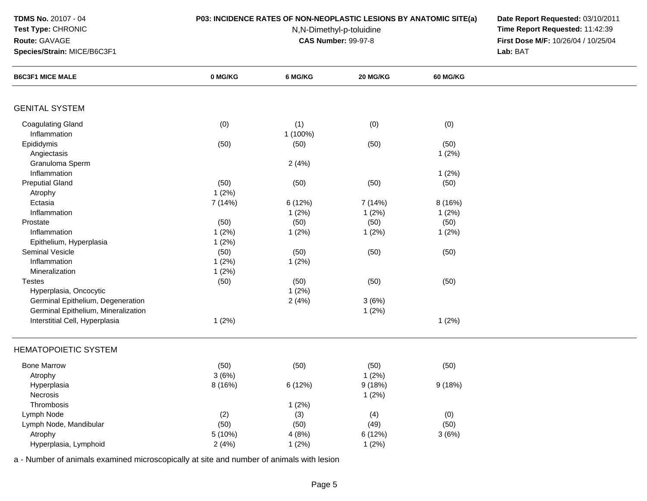## **Test Type:** CHRONIC

### **Route:** GAVAGE

**Species/Strain:** MICE/B6C3F1

## **P03: INCIDENCE RATES OF NON-NEOPLASTIC LESIONS BY ANATOMIC SITE(a) Date Report Requested:** 03/10/2011

N,N-Dimethyl-p-toluidine

 **Time Report Requested:** 11:42:39 **First Dose M/F:** 10/26/04 / 10/25/04<br>Lab: BAT **Lab:** BAT

| <b>B6C3F1 MICE MALE</b>             | 0 MG/KG | 6 MG/KG  | 20 MG/KG | <b>60 MG/KG</b> |  |
|-------------------------------------|---------|----------|----------|-----------------|--|
|                                     |         |          |          |                 |  |
| <b>GENITAL SYSTEM</b>               |         |          |          |                 |  |
| <b>Coagulating Gland</b>            | (0)     | (1)      | (0)      | (0)             |  |
| Inflammation                        |         | 1 (100%) |          |                 |  |
| Epididymis                          | (50)    | (50)     | (50)     | (50)            |  |
| Angiectasis                         |         |          |          | 1(2%)           |  |
| Granuloma Sperm                     |         | 2(4%)    |          |                 |  |
| Inflammation                        |         |          |          | 1(2%)           |  |
| <b>Preputial Gland</b>              | (50)    | (50)     | (50)     | (50)            |  |
| Atrophy                             | 1(2%)   |          |          |                 |  |
| Ectasia                             | 7 (14%) | 6 (12%)  | 7 (14%)  | 8 (16%)         |  |
| Inflammation                        |         | 1(2%)    | 1(2%)    | 1(2%)           |  |
| Prostate                            | (50)    | (50)     | (50)     | (50)            |  |
| Inflammation                        | 1(2%)   | 1(2%)    | 1(2%)    | 1(2%)           |  |
| Epithelium, Hyperplasia             | 1(2%)   |          |          |                 |  |
| <b>Seminal Vesicle</b>              | (50)    | (50)     | (50)     | (50)            |  |
| Inflammation                        | 1(2%)   | 1(2%)    |          |                 |  |
| Mineralization                      | 1(2%)   |          |          |                 |  |
| <b>Testes</b>                       | (50)    | (50)     | (50)     | (50)            |  |
| Hyperplasia, Oncocytic              |         | 1(2%)    |          |                 |  |
| Germinal Epithelium, Degeneration   |         | 2(4%)    | 3(6%)    |                 |  |
| Germinal Epithelium, Mineralization |         |          | 1(2%)    |                 |  |
| Interstitial Cell, Hyperplasia      | 1(2%)   |          |          | 1(2%)           |  |
| <b>HEMATOPOIETIC SYSTEM</b>         |         |          |          |                 |  |
| <b>Bone Marrow</b>                  | (50)    | (50)     | (50)     | (50)            |  |
| Atrophy                             | 3(6%)   |          | $1(2\%)$ |                 |  |
|                                     | 8 (16%) | 6 (12%)  | 9(18%)   | 9(18%)          |  |
| Hyperplasia<br>Necrosis             |         |          | 1(2%)    |                 |  |
| Thrombosis                          |         |          |          |                 |  |
|                                     |         | 1(2%)    |          |                 |  |
| Lymph Node                          | (2)     | (3)      | (4)      | (0)             |  |
| Lymph Node, Mandibular              | (50)    | (50)     | (49)     | (50)            |  |
| Atrophy                             | 5 (10%) | 4(8%)    | 6 (12%)  | 3(6%)           |  |
| Hyperplasia, Lymphoid               | 2(4%)   | 1(2%)    | 1(2%)    |                 |  |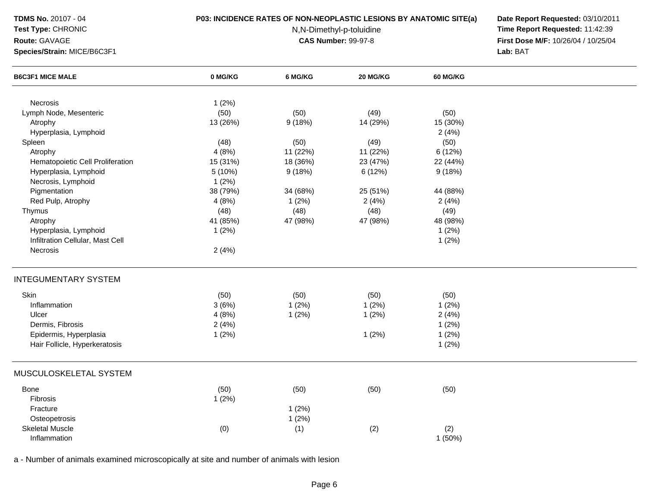# **Test Type:** CHRONIC

### **Route:** GAVAGE

**Species/Strain:** MICE/B6C3F1

## **P03: INCIDENCE RATES OF NON-NEOPLASTIC LESIONS BY ANATOMIC SITE(a) Date Report Requested:** 03/10/2011

N,N-Dimethyl-p-toluidine

 **Time Report Requested:** 11:42:39 **First Dose M/F:** 10/26/04 / 10/25/04<br>Lab: BAT **Lab:** BAT

| <b>B6C3F1 MICE MALE</b>          | 0 MG/KG  | 6 MG/KG  | 20 MG/KG | 60 MG/KG |  |
|----------------------------------|----------|----------|----------|----------|--|
|                                  |          |          |          |          |  |
| Necrosis                         | 1(2%)    |          |          |          |  |
| Lymph Node, Mesenteric           | (50)     | (50)     | (49)     | (50)     |  |
| Atrophy                          | 13 (26%) | 9(18%)   | 14 (29%) | 15 (30%) |  |
| Hyperplasia, Lymphoid            |          |          |          | 2(4%)    |  |
| Spleen                           | (48)     | (50)     | (49)     | (50)     |  |
| Atrophy                          | 4(8%)    | 11 (22%) | 11 (22%) | 6(12%)   |  |
| Hematopoietic Cell Proliferation | 15 (31%) | 18 (36%) | 23 (47%) | 22 (44%) |  |
| Hyperplasia, Lymphoid            | 5(10%)   | 9(18%)   | 6 (12%)  | 9(18%)   |  |
| Necrosis, Lymphoid               | 1(2%)    |          |          |          |  |
| Pigmentation                     | 38 (79%) | 34 (68%) | 25 (51%) | 44 (88%) |  |
| Red Pulp, Atrophy                | 4(8%)    | 1(2%)    | 2(4%)    | 2(4%)    |  |
| Thymus                           | (48)     | (48)     | (48)     | (49)     |  |
| Atrophy                          | 41 (85%) | 47 (98%) | 47 (98%) | 48 (98%) |  |
| Hyperplasia, Lymphoid            | 1(2%)    |          |          | 1(2%)    |  |
| Infiltration Cellular, Mast Cell |          |          |          | 1(2%)    |  |
| Necrosis                         | 2(4%)    |          |          |          |  |
| <b>INTEGUMENTARY SYSTEM</b>      |          |          |          |          |  |
| Skin                             | (50)     | (50)     | (50)     | (50)     |  |
| Inflammation                     | 3(6%)    | 1(2%)    | 1(2%)    | 1(2%)    |  |
| Ulcer                            | 4(8%)    | 1(2%)    | 1(2%)    | 2(4%)    |  |
| Dermis, Fibrosis                 | 2(4%)    |          |          | 1(2%)    |  |
| Epidermis, Hyperplasia           | 1(2%)    |          | 1(2%)    | 1(2%)    |  |
| Hair Follicle, Hyperkeratosis    |          |          |          | 1(2%)    |  |
|                                  |          |          |          |          |  |
| MUSCULOSKELETAL SYSTEM           |          |          |          |          |  |
| Bone                             | (50)     | (50)     | (50)     | (50)     |  |
| Fibrosis                         | 1(2%)    |          |          |          |  |
| Fracture                         |          | 1(2%)    |          |          |  |
| Osteopetrosis                    |          | 1(2%)    |          |          |  |
| <b>Skeletal Muscle</b>           | (0)      | (1)      | (2)      | (2)      |  |
| Inflammation                     |          |          |          | 1(50%)   |  |
|                                  |          |          |          |          |  |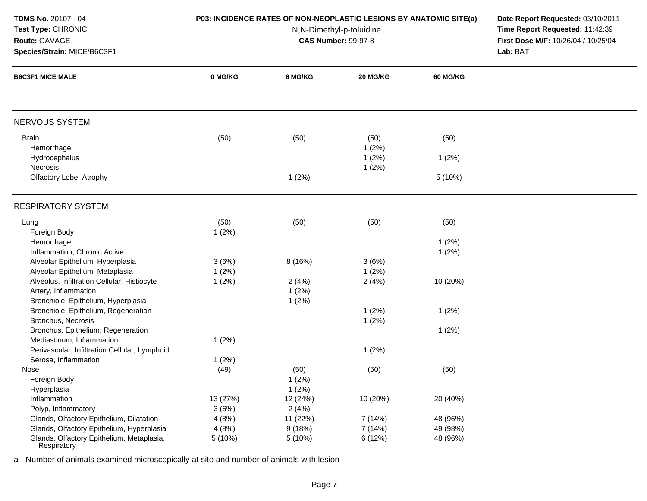| <b>TDMS No. 20107 - 04</b> |  |  |  |
|----------------------------|--|--|--|
|----------------------------|--|--|--|

**Route:** GAVAGE

# **Test Type:** CHRONIC

**Species/Strain:** MICE/B6C3F1

## **P03: INCIDENCE RATES OF NON-NEOPLASTIC LESIONS BY ANATOMIC SITE(a) Date Report Requested:** 03/10/2011

N,N-Dimethyl-p-toluidine

 **Time Report Requested:** 11:42:39 **First Dose M/F:** 10/26/04 / 10/25/04<br>Lab: BAT **Lab:** BAT

| <b>B6C3F1 MICE MALE</b>                                  | 0 MG/KG  | 6 MG/KG  | 20 MG/KG | <b>60 MG/KG</b> |  |
|----------------------------------------------------------|----------|----------|----------|-----------------|--|
|                                                          |          |          |          |                 |  |
| NERVOUS SYSTEM                                           |          |          |          |                 |  |
| <b>Brain</b>                                             | (50)     | (50)     | (50)     | (50)            |  |
| Hemorrhage                                               |          |          | 1(2%)    |                 |  |
| Hydrocephalus                                            |          |          | 1(2%)    | 1(2%)           |  |
| Necrosis                                                 |          |          | 1(2%)    |                 |  |
| Olfactory Lobe, Atrophy                                  |          | 1(2%)    |          | 5 (10%)         |  |
| <b>RESPIRATORY SYSTEM</b>                                |          |          |          |                 |  |
| Lung                                                     | (50)     | (50)     | (50)     | (50)            |  |
| Foreign Body                                             | 1(2%)    |          |          |                 |  |
| Hemorrhage                                               |          |          |          | 1(2%)           |  |
| Inflammation, Chronic Active                             |          |          |          | 1(2%)           |  |
| Alveolar Epithelium, Hyperplasia                         | 3(6%)    | 8 (16%)  | 3(6%)    |                 |  |
| Alveolar Epithelium, Metaplasia                          | 1(2%)    |          | 1(2%)    |                 |  |
| Alveolus, Infiltration Cellular, Histiocyte              | 1(2%)    | 2(4%)    | 2(4%)    | 10 (20%)        |  |
| Artery, Inflammation                                     |          | 1(2%)    |          |                 |  |
| Bronchiole, Epithelium, Hyperplasia                      |          | 1(2%)    |          |                 |  |
| Bronchiole, Epithelium, Regeneration                     |          |          | 1(2%)    | 1(2%)           |  |
| Bronchus, Necrosis                                       |          |          | 1(2%)    |                 |  |
| Bronchus, Epithelium, Regeneration                       |          |          |          | 1(2%)           |  |
| Mediastinum, Inflammation                                | 1(2%)    |          |          |                 |  |
| Perivascular, Infiltration Cellular, Lymphoid            |          |          | 1(2%)    |                 |  |
| Serosa, Inflammation                                     | 1(2%)    |          |          |                 |  |
| Nose                                                     | (49)     | (50)     | (50)     | (50)            |  |
| Foreign Body                                             |          | 1(2%)    |          |                 |  |
| Hyperplasia                                              |          | 1(2%)    |          |                 |  |
| Inflammation                                             | 13 (27%) | 12 (24%) | 10 (20%) | 20 (40%)        |  |
| Polyp, Inflammatory                                      | 3(6%)    | 2(4%)    |          |                 |  |
| Glands, Olfactory Epithelium, Dilatation                 | 4(8%)    | 11 (22%) | 7 (14%)  | 48 (96%)        |  |
| Glands, Olfactory Epithelium, Hyperplasia                | 4(8%)    | 9(18%)   | 7 (14%)  | 49 (98%)        |  |
| Glands, Olfactory Epithelium, Metaplasia,<br>Respiratory | 5 (10%)  | 5 (10%)  | 6 (12%)  | 48 (96%)        |  |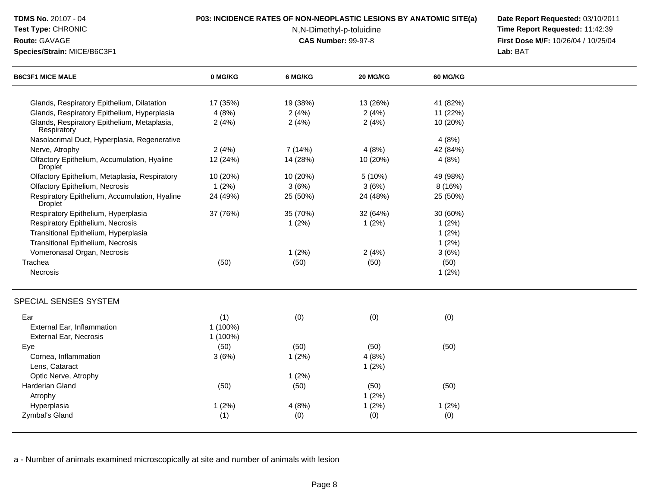| TDMS No. 20107 - 04                                           |          | P03: INCIDENCE RATES OF NON-NEOPLASTIC LESIONS BY ANATOMIC SITE(a) | Date Report Requested: 03/10/2011 |                                     |  |
|---------------------------------------------------------------|----------|--------------------------------------------------------------------|-----------------------------------|-------------------------------------|--|
| Test Type: CHRONIC                                            |          | N,N-Dimethyl-p-toluidine                                           |                                   | Time Report Requested: 11:42:39     |  |
| Route: GAVAGE                                                 |          | <b>CAS Number: 99-97-8</b>                                         |                                   | First Dose M/F: 10/26/04 / 10/25/04 |  |
| Species/Strain: MICE/B6C3F1                                   |          |                                                                    |                                   | Lab: BAT                            |  |
| <b>B6C3F1 MICE MALE</b>                                       | 0 MG/KG  | 6 MG/KG                                                            | 20 MG/KG                          | <b>60 MG/KG</b>                     |  |
| Glands, Respiratory Epithelium, Dilatation                    | 17 (35%) | 19 (38%)                                                           | 13 (26%)                          | 41 (82%)                            |  |
| Glands, Respiratory Epithelium, Hyperplasia                   | 4(8%)    | 2(4%)                                                              | 2(4%)                             | 11 (22%)                            |  |
| Glands, Respiratory Epithelium, Metaplasia,<br>Respiratory    | 2(4%)    | 2(4%)                                                              | 2(4%)                             | 10 (20%)                            |  |
| Nasolacrimal Duct, Hyperplasia, Regenerative                  |          |                                                                    |                                   | 4(8%)                               |  |
| Nerve, Atrophy                                                | 2(4%)    | 7 (14%)                                                            | 4(8%)                             | 42 (84%)                            |  |
| Olfactory Epithelium, Accumulation, Hyaline<br><b>Droplet</b> | 12 (24%) | 14 (28%)                                                           | 10 (20%)                          | 4(8%)                               |  |
| Olfactory Epithelium, Metaplasia, Respiratory                 | 10 (20%) | 10 (20%)                                                           | 5(10%)                            | 49 (98%)                            |  |
| <b>Olfactory Epithelium, Necrosis</b>                         | 1(2%)    | 3(6%)                                                              | 3(6%)                             | 8(16%)                              |  |
| Respiratory Epithelium, Accumulation, Hyaline<br>Droplet      | 24 (49%) | 25 (50%)                                                           | 24 (48%)                          | 25 (50%)                            |  |
| Respiratory Epithelium, Hyperplasia                           | 37 (76%) | 35 (70%)                                                           | 32 (64%)                          | 30 (60%)                            |  |
| Respiratory Epithelium, Necrosis                              |          | 1(2%)                                                              | 1(2%)                             | 1(2%)                               |  |
| Transitional Epithelium, Hyperplasia                          |          |                                                                    |                                   | 1(2%)                               |  |
| Transitional Epithelium, Necrosis                             |          |                                                                    |                                   | 1(2%)                               |  |
| Vomeronasal Organ, Necrosis                                   |          | 1(2%)                                                              | 2(4%)                             | 3(6%)                               |  |
| Trachea                                                       | (50)     | (50)                                                               | (50)                              | (50)                                |  |
| Necrosis                                                      |          |                                                                    |                                   | 1(2%)                               |  |
| SPECIAL SENSES SYSTEM                                         |          |                                                                    |                                   |                                     |  |
| Ear                                                           | (1)      | (0)                                                                | (0)                               | (0)                                 |  |
| External Ear, Inflammation                                    | 1 (100%) |                                                                    |                                   |                                     |  |
| <b>External Ear, Necrosis</b>                                 | 1 (100%) |                                                                    |                                   |                                     |  |
| Eye                                                           | (50)     | (50)                                                               | (50)                              | (50)                                |  |
| Cornea, Inflammation                                          | 3(6%)    | 1(2%)                                                              | 4(8%)                             |                                     |  |
| Lens, Cataract                                                |          |                                                                    | 1(2%)                             |                                     |  |
| Optic Nerve, Atrophy                                          |          | 1(2%)                                                              |                                   |                                     |  |
| Harderian Gland                                               | (50)     | (50)                                                               | (50)                              | (50)                                |  |
| Atrophy                                                       |          |                                                                    | 1(2%)                             |                                     |  |
| Hyperplasia                                                   | 1(2%)    | 4(8%)                                                              | 1(2%)                             | 1(2%)                               |  |
| Zymbal's Gland                                                | (1)      | (0)                                                                | (0)                               | (0)                                 |  |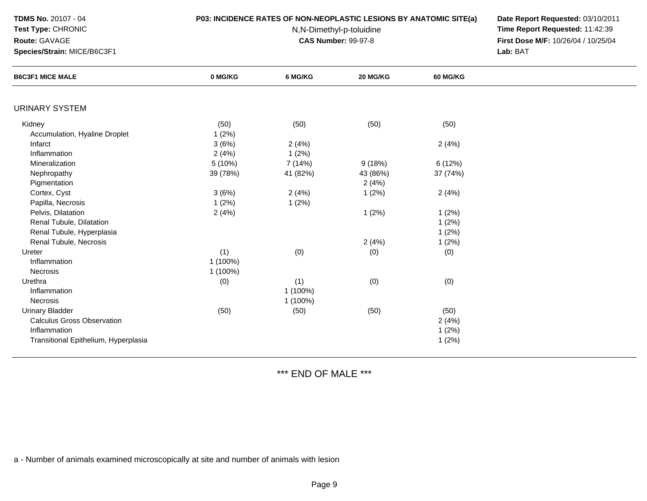| <b>TDMS No. 20107 - 04</b> |  |  |
|----------------------------|--|--|
|----------------------------|--|--|

**Route:** GAVAGE

# **Test Type:** CHRONIC

**Species/Strain:** MICE/B6C3F1

# **P03: INCIDENCE RATES OF NON-NEOPLASTIC LESIONS BY ANATOMIC SITE(a) Date Report Requested:** 03/10/2011

N,N-Dimethyl-p-toluidine

 **Time Report Requested:** 11:42:39 **First Dose M/F:** 10/26/04 / 10/25/04 Lab: BAT **Lab:** BAT

| <b>B6C3F1 MICE MALE</b>              | 0 MG/KG  | 6 MG/KG  | 20 MG/KG | <b>60 MG/KG</b> |  |
|--------------------------------------|----------|----------|----------|-----------------|--|
|                                      |          |          |          |                 |  |
| URINARY SYSTEM                       |          |          |          |                 |  |
| Kidney                               | (50)     | (50)     | (50)     | (50)            |  |
| Accumulation, Hyaline Droplet        | 1(2%)    |          |          |                 |  |
| Infarct                              | 3(6%)    | 2(4%)    |          | 2(4%)           |  |
| Inflammation                         | 2(4%)    | 1(2%)    |          |                 |  |
| Mineralization                       | 5 (10%)  | 7 (14%)  | 9(18%)   | 6 (12%)         |  |
| Nephropathy                          | 39 (78%) | 41 (82%) | 43 (86%) | 37 (74%)        |  |
| Pigmentation                         |          |          | 2(4%)    |                 |  |
| Cortex, Cyst                         | 3(6%)    | 2(4%)    | 1(2%)    | 2(4%)           |  |
| Papilla, Necrosis                    | 1(2%)    | 1(2%)    |          |                 |  |
| Pelvis, Dilatation                   | 2(4%)    |          | 1(2%)    | 1(2%)           |  |
| Renal Tubule, Dilatation             |          |          |          | 1(2%)           |  |
| Renal Tubule, Hyperplasia            |          |          |          | 1(2%)           |  |
| Renal Tubule, Necrosis               |          |          | 2(4%)    | 1(2%)           |  |
| Ureter                               | (1)      | (0)      | (0)      | (0)             |  |
| Inflammation                         | 1 (100%) |          |          |                 |  |
| Necrosis                             | 1 (100%) |          |          |                 |  |
| Urethra                              | (0)      | (1)      | (0)      | (0)             |  |
| Inflammation                         |          | 1 (100%) |          |                 |  |
| Necrosis                             |          | 1 (100%) |          |                 |  |
| <b>Urinary Bladder</b>               | (50)     | (50)     | (50)     | (50)            |  |
| <b>Calculus Gross Observation</b>    |          |          |          | 2(4%)           |  |
| Inflammation                         |          |          |          | 1(2%)           |  |
| Transitional Epithelium, Hyperplasia |          |          |          | 1(2%)           |  |
|                                      |          |          |          |                 |  |

\*\*\* END OF MALE \*\*\*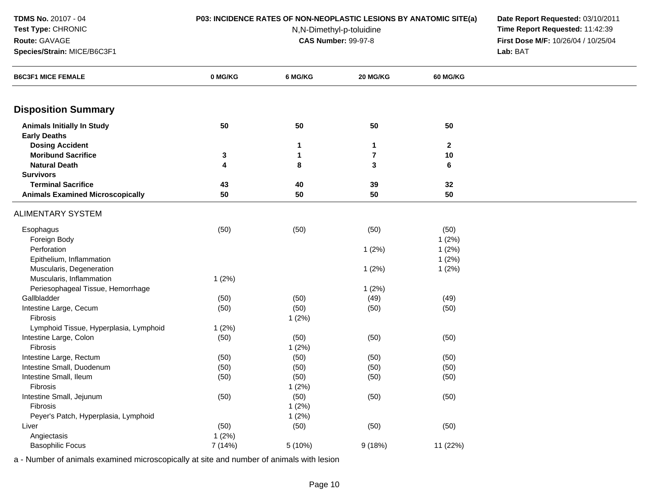**Route:** GAVAGE

## **Test Type:** CHRONIC

**Species/Strain:** MICE/B6C3F1

N,N-Dimethyl-p-toluidine

 **P03: INCIDENCE RATES OF NON-NEOPLASTIC LESIONS BY ANATOMIC SITE(a) Date Report Requested:** 03/10/2011 **Time Report Requested:** 11:42:39 **First Dose M/F:** 10/26/04 / 10/25/04 Lab: BAT **Lab:** BAT

| <b>B6C3F1 MICE FEMALE</b>               | 0 MG/KG      | 6 MG/KG | 20 MG/KG                | <b>60 MG/KG</b> |  |
|-----------------------------------------|--------------|---------|-------------------------|-----------------|--|
| <b>Disposition Summary</b>              |              |         |                         |                 |  |
| <b>Animals Initially In Study</b>       | 50           | 50      | 50                      | 50              |  |
| <b>Early Deaths</b>                     |              |         |                         |                 |  |
| <b>Dosing Accident</b>                  |              | 1       | $\mathbf 1$             | $\mathbf{2}$    |  |
| <b>Moribund Sacrifice</b>               | $\mathbf{3}$ | 1       | $\overline{\mathbf{r}}$ | 10              |  |
| <b>Natural Death</b>                    | 4            | 8       | 3                       | 6               |  |
| <b>Survivors</b>                        |              |         |                         |                 |  |
| <b>Terminal Sacrifice</b>               | 43           | 40      | 39                      | 32              |  |
| <b>Animals Examined Microscopically</b> | 50           | 50      | 50                      | 50              |  |
| <b>ALIMENTARY SYSTEM</b>                |              |         |                         |                 |  |
| Esophagus                               | (50)         | (50)    | (50)                    | (50)            |  |
| Foreign Body                            |              |         |                         | 1(2%)           |  |
| Perforation                             |              |         | 1(2%)                   | 1(2%)           |  |
| Epithelium, Inflammation                |              |         |                         | 1(2%)           |  |
| Muscularis, Degeneration                |              |         | 1(2%)                   | 1(2%)           |  |
| Muscularis, Inflammation                | 1(2%)        |         |                         |                 |  |
| Periesophageal Tissue, Hemorrhage       |              |         | 1(2%)                   |                 |  |
| Gallbladder                             | (50)         | (50)    | (49)                    | (49)            |  |
| Intestine Large, Cecum                  | (50)         | (50)    | (50)                    | (50)            |  |
| Fibrosis                                |              | 1(2%)   |                         |                 |  |
| Lymphoid Tissue, Hyperplasia, Lymphoid  | 1(2%)        |         |                         |                 |  |
| Intestine Large, Colon                  | (50)         | (50)    | (50)                    | (50)            |  |
| Fibrosis                                |              | 1(2%)   |                         |                 |  |
| Intestine Large, Rectum                 | (50)         | (50)    | (50)                    | (50)            |  |
| Intestine Small, Duodenum               | (50)         | (50)    | (50)                    | (50)            |  |
| Intestine Small, Ileum                  | (50)         | (50)    | (50)                    | (50)            |  |
| Fibrosis                                |              | 1(2%)   |                         |                 |  |
| Intestine Small, Jejunum                | (50)         | (50)    | (50)                    | (50)            |  |
| Fibrosis                                |              | 1(2%)   |                         |                 |  |
| Peyer's Patch, Hyperplasia, Lymphoid    |              | 1(2%)   |                         |                 |  |
| Liver                                   | (50)         | (50)    | (50)                    | (50)            |  |
| Angiectasis                             | 1(2%)        |         |                         |                 |  |
| <b>Basophilic Focus</b>                 | 7 (14%)      | 5 (10%) | 9(18%)                  | 11 (22%)        |  |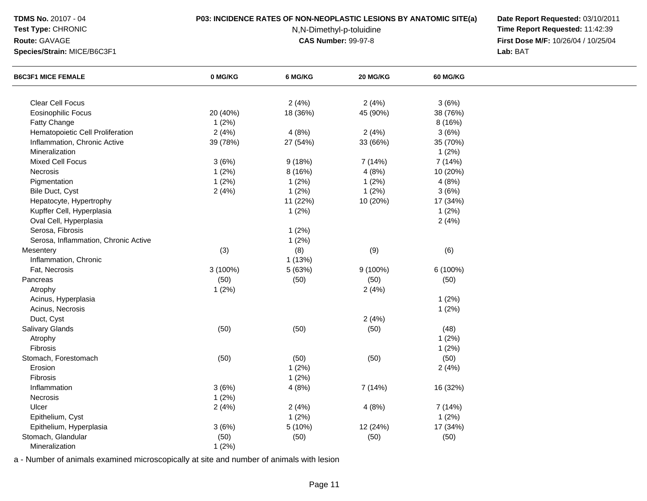# **Test Type:** CHRONIC

## **Route:** GAVAGE

**Species/Strain:** MICE/B6C3F1

## **P03: INCIDENCE RATES OF NON-NEOPLASTIC LESIONS BY ANATOMIC SITE(a) Date Report Requested:** 03/10/2011

N,N-Dimethyl-p-toluidine

 **Time Report Requested:** 11:42:39 **First Dose M/F:** 10/26/04 / 10/25/04<br>Lab: BAT **Lab:** BAT

| <b>B6C3F1 MICE FEMALE</b>            | 0 MG/KG  | 6 MG/KG  | 20 MG/KG | 60 MG/KG |  |
|--------------------------------------|----------|----------|----------|----------|--|
|                                      |          |          |          |          |  |
| Clear Cell Focus                     |          | 2(4%)    | 2(4%)    | 3(6%)    |  |
| <b>Eosinophilic Focus</b>            | 20 (40%) | 18 (36%) | 45 (90%) | 38 (76%) |  |
| Fatty Change                         | 1(2%)    |          |          | 8 (16%)  |  |
| Hematopoietic Cell Proliferation     | 2(4%)    | 4(8%)    | 2(4%)    | 3(6%)    |  |
| Inflammation, Chronic Active         | 39 (78%) | 27 (54%) | 33 (66%) | 35 (70%) |  |
| Mineralization                       |          |          |          | 1(2%)    |  |
| Mixed Cell Focus                     | 3(6%)    | 9(18%)   | 7 (14%)  | 7 (14%)  |  |
| Necrosis                             | 1(2%)    | 8 (16%)  | 4(8%)    | 10 (20%) |  |
| Pigmentation                         | 1(2%)    | 1(2%)    | 1(2%)    | 4(8%)    |  |
| Bile Duct, Cyst                      | 2(4%)    | 1(2%)    | 1(2%)    | 3(6%)    |  |
| Hepatocyte, Hypertrophy              |          | 11 (22%) | 10 (20%) | 17 (34%) |  |
| Kupffer Cell, Hyperplasia            |          | 1(2%)    |          | 1(2%)    |  |
| Oval Cell, Hyperplasia               |          |          |          | 2(4%)    |  |
| Serosa, Fibrosis                     |          | 1(2%)    |          |          |  |
| Serosa, Inflammation, Chronic Active |          | 1(2%)    |          |          |  |
| Mesentery                            | (3)      | (8)      | (9)      | (6)      |  |
| Inflammation, Chronic                |          | 1(13%)   |          |          |  |
| Fat, Necrosis                        | 3 (100%) | 5 (63%)  | 9 (100%) | 6 (100%) |  |
| Pancreas                             | (50)     | (50)     | (50)     | (50)     |  |
| Atrophy                              | 1(2%)    |          | 2(4%)    |          |  |
| Acinus, Hyperplasia                  |          |          |          | 1(2%)    |  |
| Acinus, Necrosis                     |          |          |          | 1(2%)    |  |
| Duct, Cyst                           |          |          | 2(4%)    |          |  |
| Salivary Glands                      | (50)     | (50)     | (50)     | (48)     |  |
| Atrophy                              |          |          |          | 1(2%)    |  |
| Fibrosis                             |          |          |          | 1(2%)    |  |
| Stomach, Forestomach                 | (50)     | (50)     | (50)     | (50)     |  |
| Erosion                              |          | 1(2%)    |          | 2(4%)    |  |
| Fibrosis                             |          | 1(2%)    |          |          |  |
| Inflammation                         | 3(6%)    | 4(8%)    | 7 (14%)  | 16 (32%) |  |
| Necrosis                             | 1(2%)    |          |          |          |  |
| Ulcer                                | 2(4%)    | 2(4%)    | 4(8%)    | 7 (14%)  |  |
| Epithelium, Cyst                     |          | 1(2%)    |          | 1(2%)    |  |
| Epithelium, Hyperplasia              |          | 5 (10%)  | 12 (24%) | 17 (34%) |  |
| Stomach, Glandular                   | 3(6%)    |          |          |          |  |
|                                      | (50)     | (50)     | (50)     | (50)     |  |
| Mineralization                       | 1(2%)    |          |          |          |  |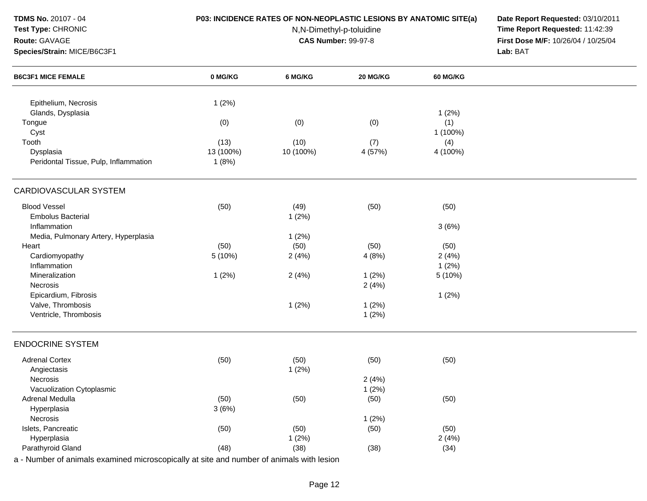| <b>TDMS No. 20107 - 04</b><br>Test Type: CHRONIC                                         | P03: INCIDENCE RATES OF NON-NEOPLASTIC LESIONS BY ANATOMIC SITE(a) | Date Report Requested: 03/10/2011<br>Time Report Requested: 11:42:39 |                                     |                 |          |
|------------------------------------------------------------------------------------------|--------------------------------------------------------------------|----------------------------------------------------------------------|-------------------------------------|-----------------|----------|
| Route: GAVAGE                                                                            |                                                                    |                                                                      | First Dose M/F: 10/26/04 / 10/25/04 |                 |          |
| Species/Strain: MICE/B6C3F1                                                              |                                                                    | <b>CAS Number: 99-97-8</b>                                           |                                     |                 | Lab: BAT |
| <b>B6C3F1 MICE FEMALE</b>                                                                | 0 MG/KG                                                            | 6 MG/KG                                                              | 20 MG/KG                            | <b>60 MG/KG</b> |          |
| Epithelium, Necrosis                                                                     | 1(2%)                                                              |                                                                      |                                     |                 |          |
| Glands, Dysplasia                                                                        |                                                                    |                                                                      |                                     | 1(2%)           |          |
| Tongue                                                                                   | (0)                                                                | (0)                                                                  | (0)                                 | (1)             |          |
| Cyst                                                                                     |                                                                    |                                                                      |                                     | 1 (100%)        |          |
| Tooth                                                                                    | (13)                                                               | (10)                                                                 | (7)                                 | (4)             |          |
| Dysplasia                                                                                | 13 (100%)                                                          | 10 (100%)                                                            | 4 (57%)                             | 4 (100%)        |          |
| Peridontal Tissue, Pulp, Inflammation                                                    | 1(8%)                                                              |                                                                      |                                     |                 |          |
| CARDIOVASCULAR SYSTEM                                                                    |                                                                    |                                                                      |                                     |                 |          |
| <b>Blood Vessel</b>                                                                      | (50)                                                               | (49)                                                                 | (50)                                | (50)            |          |
| <b>Embolus Bacterial</b>                                                                 |                                                                    | 1(2%)                                                                |                                     |                 |          |
| Inflammation                                                                             |                                                                    |                                                                      |                                     | 3(6%)           |          |
| Media, Pulmonary Artery, Hyperplasia                                                     |                                                                    | 1(2%)                                                                |                                     |                 |          |
| Heart                                                                                    | (50)                                                               | (50)                                                                 | (50)                                | (50)            |          |
| Cardiomyopathy                                                                           | 5 (10%)                                                            | 2(4%)                                                                | 4(8%)                               | 2(4%)           |          |
| Inflammation                                                                             |                                                                    |                                                                      |                                     | 1(2%)           |          |
| Mineralization                                                                           | 1(2%)                                                              | 2(4%)                                                                | 1(2%)                               | 5(10%)          |          |
| Necrosis                                                                                 |                                                                    |                                                                      | 2(4%)                               |                 |          |
| Epicardium, Fibrosis                                                                     |                                                                    |                                                                      |                                     | 1(2%)           |          |
| Valve, Thrombosis                                                                        |                                                                    | 1(2%)                                                                | 1(2%)                               |                 |          |
| Ventricle, Thrombosis                                                                    |                                                                    |                                                                      | 1(2%)                               |                 |          |
| <b>ENDOCRINE SYSTEM</b>                                                                  |                                                                    |                                                                      |                                     |                 |          |
| <b>Adrenal Cortex</b>                                                                    | (50)                                                               | (50)                                                                 | (50)                                | (50)            |          |
| Angiectasis                                                                              |                                                                    | 1(2%)                                                                |                                     |                 |          |
| <b>Necrosis</b>                                                                          |                                                                    |                                                                      | 2(4%)                               |                 |          |
| Vacuolization Cytoplasmic                                                                |                                                                    |                                                                      | 1(2%)                               |                 |          |
| Adrenal Medulla                                                                          | (50)                                                               | (50)                                                                 | (50)                                | (50)            |          |
| Hyperplasia                                                                              | 3(6%)                                                              |                                                                      |                                     |                 |          |
| Necrosis                                                                                 |                                                                    |                                                                      | 1(2%)                               |                 |          |
| Islets, Pancreatic                                                                       | (50)                                                               | (50)                                                                 | (50)                                | (50)            |          |
| Hyperplasia                                                                              |                                                                    | 1(2%)                                                                |                                     | 2(4%)           |          |
| Parathyroid Gland                                                                        | (48)                                                               | (38)                                                                 | (38)                                | (34)            |          |
| a - Number of animals examined microscopically at site and number of animals with lesion |                                                                    |                                                                      |                                     |                 |          |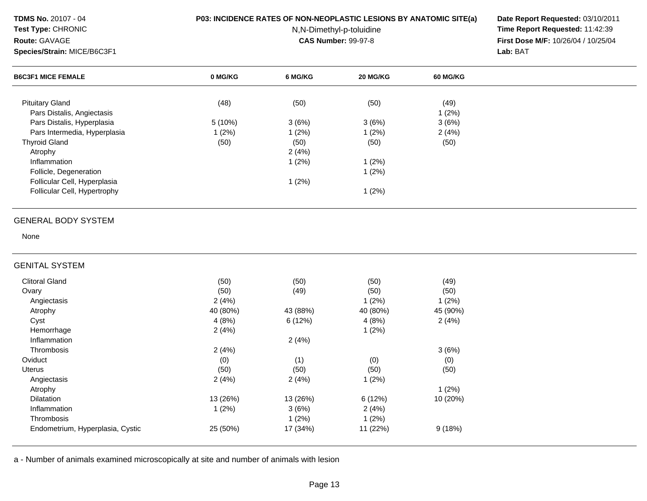# **Test Type:** CHRONIC

**Species/Strain:** MICE/B6C3F1

**Route:** GAVAGE

# **P03: INCIDENCE RATES OF NON-NEOPLASTIC LESIONS BY ANATOMIC SITE(a) Date Report Requested:** 03/10/2011

N,N-Dimethyl-p-toluidine

 **Time Report Requested:** 11:42:39 **First Dose M/F:** 10/26/04 / 10/25/04 Lab: BAT

| <b>Species/Strain: MICE/B6C3F1</b> |          | Lab: BAT |          |          |  |
|------------------------------------|----------|----------|----------|----------|--|
| <b>B6C3F1 MICE FEMALE</b>          | 0 MG/KG  | 6 MG/KG  | 20 MG/KG | 60 MG/KG |  |
| <b>Pituitary Gland</b>             | (48)     | (50)     | (50)     | (49)     |  |
| Pars Distalis, Angiectasis         |          |          |          | 1(2%)    |  |
| Pars Distalis, Hyperplasia         | 5 (10%)  | 3(6%)    | 3(6%)    | 3(6%)    |  |
| Pars Intermedia, Hyperplasia       | 1(2%)    | 1(2%)    | 1(2%)    | 2(4%)    |  |
| <b>Thyroid Gland</b>               | (50)     | (50)     | (50)     | (50)     |  |
| Atrophy                            |          | 2(4%)    |          |          |  |
| Inflammation                       |          | 1(2%)    | 1(2%)    |          |  |
| Follicle, Degeneration             |          |          | 1(2%)    |          |  |
| Follicular Cell, Hyperplasia       |          | 1(2%)    |          |          |  |
| Follicular Cell, Hypertrophy       |          |          | 1(2%)    |          |  |
| <b>GENERAL BODY SYSTEM</b>         |          |          |          |          |  |
| None                               |          |          |          |          |  |
| <b>GENITAL SYSTEM</b>              |          |          |          |          |  |
| <b>Clitoral Gland</b>              | (50)     | (50)     | (50)     | (49)     |  |
| Ovary                              | (50)     | (49)     | (50)     | (50)     |  |
| Angiectasis                        | 2(4%)    |          | 1(2%)    | 1(2%)    |  |
| Atrophy                            | 40 (80%) | 43 (88%) | 40 (80%) | 45 (90%) |  |
| Cyst                               | 4(8%)    | 6 (12%)  | 4(8%)    | 2(4%)    |  |
| Hemorrhage                         | 2(4%)    |          | 1(2%)    |          |  |
| Inflammation                       |          | 2(4%)    |          |          |  |
| Thrombosis                         | 2(4%)    |          |          | 3(6%)    |  |
| Oviduct                            | (0)      | (1)      | (0)      | (0)      |  |
| <b>Uterus</b>                      | (50)     | (50)     | (50)     | (50)     |  |
| Angiectasis                        | 2(4%)    | 2(4%)    | 1(2%)    |          |  |
| Atrophy                            |          |          |          | 1(2%)    |  |
| Dilatation                         | 13 (26%) | 13 (26%) | 6(12%)   | 10 (20%) |  |
| Inflammation                       | 1(2%)    | 3(6%)    | 2(4%)    |          |  |
| Thrombosis                         |          | 1(2%)    | 1(2%)    |          |  |
| Endometrium, Hyperplasia, Cystic   | 25 (50%) | 17 (34%) | 11 (22%) | 9(18%)   |  |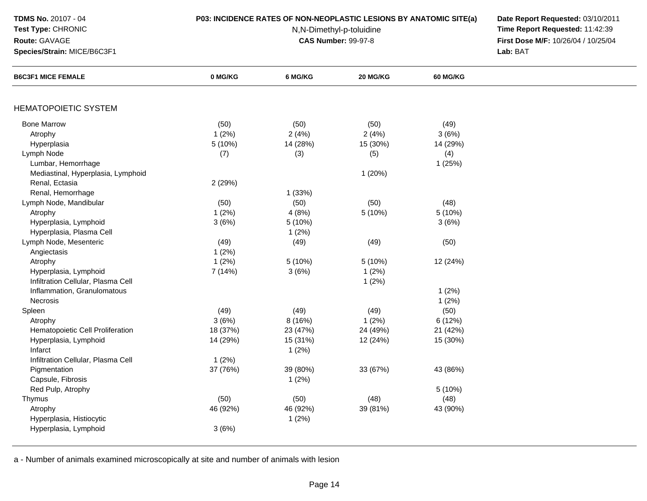# **Test Type:** CHRONIC

# **Route:** GAVAGE

**Species/Strain:** MICE/B6C3F1

## **P03: INCIDENCE RATES OF NON-NEOPLASTIC LESIONS BY ANATOMIC SITE(a) Date Report Requested:** 03/10/2011

N,N-Dimethyl-p-toluidine

 **Time Report Requested:** 11:42:39 **First Dose M/F:** 10/26/04 / 10/25/04 Lab: BAT **Lab:** BAT

| <b>B6C3F1 MICE FEMALE</b>          | 0 MG/KG  | 6 MG/KG  | 20 MG/KG | <b>60 MG/KG</b> |  |
|------------------------------------|----------|----------|----------|-----------------|--|
|                                    |          |          |          |                 |  |
| <b>HEMATOPOIETIC SYSTEM</b>        |          |          |          |                 |  |
| <b>Bone Marrow</b>                 | (50)     | (50)     | (50)     | (49)            |  |
| Atrophy                            | 1(2%)    | 2(4%)    | 2(4%)    | 3(6%)           |  |
| Hyperplasia                        | 5 (10%)  | 14 (28%) | 15 (30%) | 14 (29%)        |  |
| Lymph Node                         | (7)      | (3)      | (5)      | (4)             |  |
| Lumbar, Hemorrhage                 |          |          |          | 1(25%)          |  |
| Mediastinal, Hyperplasia, Lymphoid |          |          | 1(20%)   |                 |  |
| Renal, Ectasia                     | 2 (29%)  |          |          |                 |  |
| Renal, Hemorrhage                  |          | 1(33%)   |          |                 |  |
| Lymph Node, Mandibular             | (50)     | (50)     | (50)     | (48)            |  |
| Atrophy                            | 1(2%)    | 4(8%)    | 5(10%)   | 5(10%)          |  |
| Hyperplasia, Lymphoid              | 3(6%)    | 5(10%)   |          | 3(6%)           |  |
| Hyperplasia, Plasma Cell           |          | 1(2%)    |          |                 |  |
| Lymph Node, Mesenteric             | (49)     | (49)     | (49)     | (50)            |  |
| Angiectasis                        | 1(2%)    |          |          |                 |  |
| Atrophy                            | 1(2%)    | 5(10%)   | 5(10%)   | 12 (24%)        |  |
| Hyperplasia, Lymphoid              | 7 (14%)  | 3(6%)    | 1(2%)    |                 |  |
| Infiltration Cellular, Plasma Cell |          |          | 1(2%)    |                 |  |
| Inflammation, Granulomatous        |          |          |          | 1(2%)           |  |
| Necrosis                           |          |          |          | 1(2%)           |  |
| Spleen                             | (49)     | (49)     | (49)     | (50)            |  |
| Atrophy                            | 3(6%)    | 8 (16%)  | 1(2%)    | 6(12%)          |  |
| Hematopoietic Cell Proliferation   | 18 (37%) | 23 (47%) | 24 (49%) | 21 (42%)        |  |
| Hyperplasia, Lymphoid              | 14 (29%) | 15 (31%) | 12 (24%) | 15 (30%)        |  |
| Infarct                            |          | 1(2%)    |          |                 |  |
| Infiltration Cellular, Plasma Cell | 1(2%)    |          |          |                 |  |
| Pigmentation                       | 37 (76%) | 39 (80%) | 33 (67%) | 43 (86%)        |  |
| Capsule, Fibrosis                  |          | 1(2%)    |          |                 |  |
| Red Pulp, Atrophy                  |          |          |          | 5(10%)          |  |
| Thymus                             | (50)     | (50)     | (48)     | (48)            |  |
| Atrophy                            | 46 (92%) | 46 (92%) | 39 (81%) | 43 (90%)        |  |
| Hyperplasia, Histiocytic           |          | 1(2%)    |          |                 |  |
| Hyperplasia, Lymphoid              | 3(6%)    |          |          |                 |  |
|                                    |          |          |          |                 |  |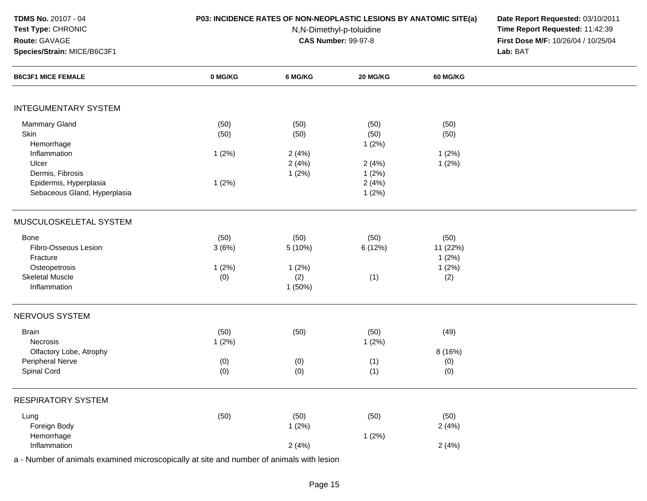## **Test Type:** CHRONIC

**Species/Strain:** MICE/B6C3F1

**Route:** GAVAGE

# **P03: INCIDENCE RATES OF NON-NEOPLASTIC LESIONS BY ANATOMIC SITE(a) Date Report Requested:** 03/10/2011

N,N-Dimethyl-p-toluidine

 **Time Report Requested:** 11:42:39 **First Dose M/F:** 10/26/04 / 10/25/04 Lab: BAT **Lab:** BAT

| <b>B6C3F1 MICE FEMALE</b>    | 0 MG/KG | 6 MG/KG | 20 MG/KG | 60 MG/KG |  |
|------------------------------|---------|---------|----------|----------|--|
|                              |         |         |          |          |  |
| <b>INTEGUMENTARY SYSTEM</b>  |         |         |          |          |  |
| Mammary Gland                | (50)    | (50)    | (50)     | (50)     |  |
| Skin                         | (50)    | (50)    | (50)     | (50)     |  |
| Hemorrhage                   |         |         | 1(2%)    |          |  |
| Inflammation                 | 1(2%)   | 2(4%)   |          | 1(2%)    |  |
| Ulcer                        |         | 2(4%)   | 2(4%)    | 1(2%)    |  |
| Dermis, Fibrosis             |         | 1(2%)   | 1(2%)    |          |  |
| Epidermis, Hyperplasia       | 1(2%)   |         | 2(4%)    |          |  |
| Sebaceous Gland, Hyperplasia |         |         | 1(2%)    |          |  |
| MUSCULOSKELETAL SYSTEM       |         |         |          |          |  |
| Bone                         | (50)    | (50)    | (50)     | (50)     |  |
| Fibro-Osseous Lesion         | 3(6%)   | 5 (10%) | 6 (12%)  | 11 (22%) |  |
| Fracture                     |         |         |          | 1(2%)    |  |
| Osteopetrosis                | 1(2%)   | 1(2%)   |          | 1(2%)    |  |
| <b>Skeletal Muscle</b>       | (0)     | (2)     | (1)      | (2)      |  |
| Inflammation                 |         | 1 (50%) |          |          |  |
| NERVOUS SYSTEM               |         |         |          |          |  |
| <b>Brain</b>                 | (50)    | (50)    | (50)     | (49)     |  |
| Necrosis                     | 1(2%)   |         | 1(2%)    |          |  |
| Olfactory Lobe, Atrophy      |         |         |          | 8 (16%)  |  |
| Peripheral Nerve             | (0)     | (0)     | (1)      | (0)      |  |
| Spinal Cord                  | (0)     | (0)     | (1)      | (0)      |  |
| <b>RESPIRATORY SYSTEM</b>    |         |         |          |          |  |
| Lung                         | (50)    | (50)    | (50)     | (50)     |  |
| Foreign Body                 |         | 1(2%)   |          | 2(4%)    |  |
| Hemorrhage                   |         |         | 1(2%)    |          |  |
| Inflammation                 |         | 2(4%)   |          | 2(4%)    |  |
|                              |         |         |          |          |  |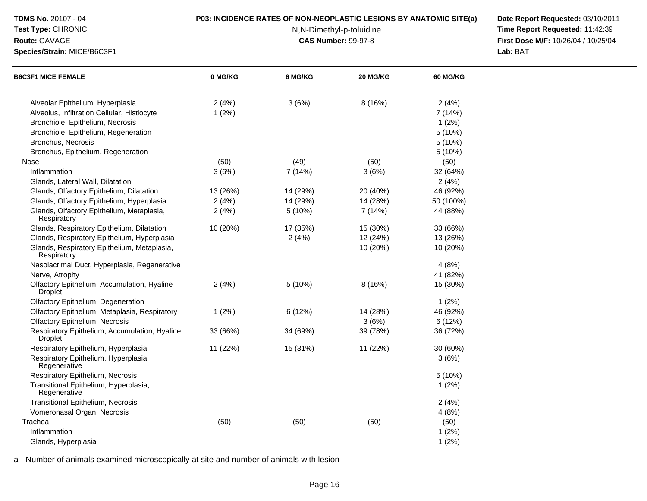# **Test Type:** CHRONIC

### **Route:** GAVAGE

**Species/Strain:** MICE/B6C3F1

## **P03: INCIDENCE RATES OF NON-NEOPLASTIC LESIONS BY ANATOMIC SITE(a) Date Report Requested:** 03/10/2011

N,N-Dimethyl-p-toluidine

 **Time Report Requested:** 11:42:39 **First Dose M/F:** 10/26/04 / 10/25/04<br>Lab: BAT **Lab:** BAT

| <b>B6C3F1 MICE FEMALE</b>                                                       | 0 MG/KG        | 6 MG/KG  | 20 MG/KG | <b>60 MG/KG</b>  |  |
|---------------------------------------------------------------------------------|----------------|----------|----------|------------------|--|
|                                                                                 |                |          |          |                  |  |
| Alveolar Epithelium, Hyperplasia<br>Alveolus, Infiltration Cellular, Histiocyte | 2(4%)<br>1(2%) | 3(6%)    | 8(16%)   | 2(4%)<br>7 (14%) |  |
| Bronchiole, Epithelium, Necrosis                                                |                |          |          | 1(2%)            |  |
| Bronchiole, Epithelium, Regeneration                                            |                |          |          | 5 (10%)          |  |
| Bronchus, Necrosis                                                              |                |          |          | 5 (10%)          |  |
| Bronchus, Epithelium, Regeneration                                              |                |          |          | 5 (10%)          |  |
| Nose                                                                            | (50)           | (49)     | (50)     | (50)             |  |
| Inflammation                                                                    | 3(6%)          | 7(14%)   | 3(6%)    | 32 (64%)         |  |
| Glands, Lateral Wall, Dilatation                                                |                |          |          | 2(4%)            |  |
| Glands, Olfactory Epithelium, Dilatation                                        | 13 (26%)       | 14 (29%) | 20 (40%) | 46 (92%)         |  |
| Glands, Olfactory Epithelium, Hyperplasia                                       | 2(4%)          | 14 (29%) | 14 (28%) | 50 (100%)        |  |
| Glands, Olfactory Epithelium, Metaplasia,                                       | 2(4%)          | 5(10%)   | 7(14%)   | 44 (88%)         |  |
| Respiratory                                                                     |                |          |          |                  |  |
| Glands, Respiratory Epithelium, Dilatation                                      | 10 (20%)       | 17 (35%) | 15 (30%) | 33 (66%)         |  |
| Glands, Respiratory Epithelium, Hyperplasia                                     |                | 2(4%)    | 12 (24%) | 13 (26%)         |  |
| Glands, Respiratory Epithelium, Metaplasia,<br>Respiratory                      |                |          | 10 (20%) | 10 (20%)         |  |
| Nasolacrimal Duct, Hyperplasia, Regenerative                                    |                |          |          | 4(8%)            |  |
| Nerve, Atrophy                                                                  |                |          |          | 41 (82%)         |  |
| Olfactory Epithelium, Accumulation, Hyaline<br>Droplet                          | 2(4%)          | 5(10%)   | 8(16%)   | 15 (30%)         |  |
| Olfactory Epithelium, Degeneration                                              |                |          |          | 1(2%)            |  |
| Olfactory Epithelium, Metaplasia, Respiratory                                   | 1(2%)          | 6(12%)   | 14 (28%) | 46 (92%)         |  |
| Olfactory Epithelium, Necrosis                                                  |                |          | 3(6%)    | 6 (12%)          |  |
| Respiratory Epithelium, Accumulation, Hyaline<br><b>Droplet</b>                 | 33 (66%)       | 34 (69%) | 39 (78%) | 36 (72%)         |  |
| Respiratory Epithelium, Hyperplasia                                             | 11 (22%)       | 15 (31%) | 11 (22%) | 30 (60%)         |  |
| Respiratory Epithelium, Hyperplasia,<br>Regenerative                            |                |          |          | 3(6%)            |  |
| Respiratory Epithelium, Necrosis                                                |                |          |          | 5 (10%)          |  |
| Transitional Epithelium, Hyperplasia,<br>Regenerative                           |                |          |          | 1(2%)            |  |
| Transitional Epithelium, Necrosis                                               |                |          |          | 2(4%)            |  |
| Vomeronasal Organ, Necrosis                                                     |                |          |          | 4(8%)            |  |
| Trachea                                                                         | (50)           | (50)     | (50)     | (50)             |  |
| Inflammation                                                                    |                |          |          | 1(2%)            |  |
| Glands, Hyperplasia                                                             |                |          |          | 1(2%)            |  |